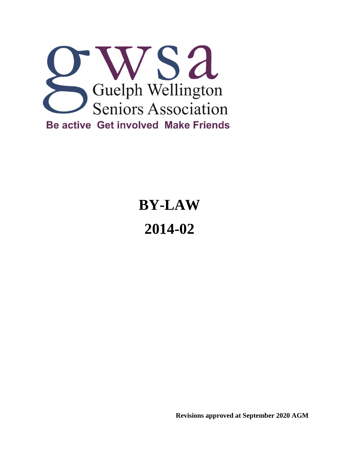

# **BY-LAW 2014-02**

**Revisions approved at September 2020 AGM**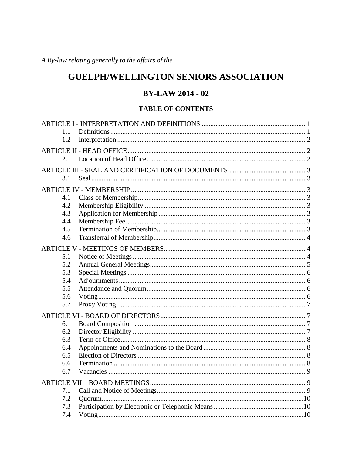A By-law relating generally to the affairs of the

# **GUELPH/WELLINGTON SENIORS ASSOCIATION**

# **BY-LAW 2014 - 02**

# **TABLE OF CONTENTS**

| 1.1        |  |  |  |  |
|------------|--|--|--|--|
| 1.2        |  |  |  |  |
|            |  |  |  |  |
| 2.1        |  |  |  |  |
|            |  |  |  |  |
| 3.1        |  |  |  |  |
|            |  |  |  |  |
|            |  |  |  |  |
| 4.1<br>4.2 |  |  |  |  |
| 4.3        |  |  |  |  |
| 4.4        |  |  |  |  |
| 4.5        |  |  |  |  |
| 4.6        |  |  |  |  |
|            |  |  |  |  |
|            |  |  |  |  |
| 5.1        |  |  |  |  |
| 5.2        |  |  |  |  |
| 5.3        |  |  |  |  |
| 5.4        |  |  |  |  |
| 5.5<br>5.6 |  |  |  |  |
| 5.7        |  |  |  |  |
|            |  |  |  |  |
|            |  |  |  |  |
| 6.1        |  |  |  |  |
| 6.2        |  |  |  |  |
| 6.3        |  |  |  |  |
| 6.4        |  |  |  |  |
| 6.5        |  |  |  |  |
| 6.6        |  |  |  |  |
| 6.7        |  |  |  |  |
|            |  |  |  |  |
| 7.1        |  |  |  |  |
| 7.2        |  |  |  |  |
| 7.3        |  |  |  |  |
| 7.4        |  |  |  |  |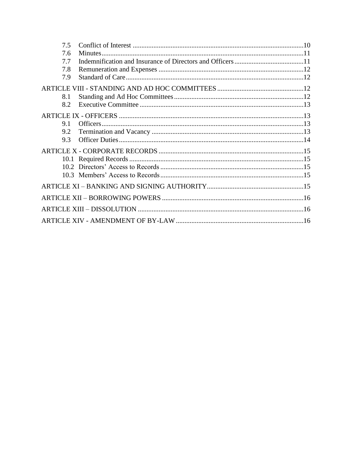| 7.5 |  |  |
|-----|--|--|
| 7.6 |  |  |
| 7.7 |  |  |
| 7.8 |  |  |
| 7.9 |  |  |
|     |  |  |
| 8.1 |  |  |
| 8.2 |  |  |
|     |  |  |
| 9.1 |  |  |
| 9.2 |  |  |
| 9.3 |  |  |
|     |  |  |
|     |  |  |
|     |  |  |
|     |  |  |
|     |  |  |
|     |  |  |
|     |  |  |
|     |  |  |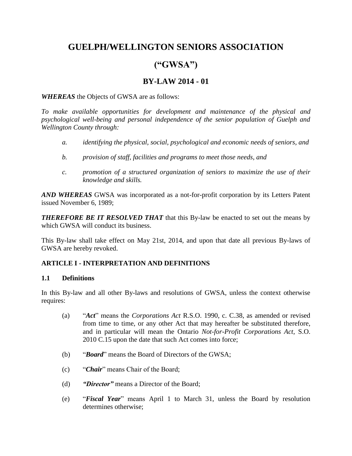# **GUELPH/WELLINGTON SENIORS ASSOCIATION**

# **("GWSA")**

# **BY-LAW 2014 - 01**

*WHEREAS* the Objects of GWSA are as follows:

*To make available opportunities for development and maintenance of the physical and psychological well-being and personal independence of the senior population of Guelph and Wellington County through:* 

- *a. identifying the physical, social, psychological and economic needs of seniors, and*
- *b. provision of staff, facilities and programs to meet those needs, and*
- *c. promotion of a structured organization of seniors to maximize the use of their knowledge and skills.*

*AND WHEREAS* GWSA was incorporated as a not-for-profit corporation by its Letters Patent issued November 6, 1989;

*THEREFORE BE IT RESOLVED THAT* that this By-law be enacted to set out the means by which GWSA will conduct its business.

This By-law shall take effect on May 21st, 2014, and upon that date all previous By-laws of GWSA are hereby revoked.

# <span id="page-3-0"></span>**ARTICLE I - INTERPRETATION AND DEFINITIONS**

#### <span id="page-3-1"></span>**1.1 Definitions**

In this By-law and all other By-laws and resolutions of GWSA, unless the context otherwise requires:

- (a) "*Act*" means the *Corporations Act* R.S.O. 1990, c. C.38, as amended or revised from time to time, or any other Act that may hereafter be substituted therefore, and in particular will mean the Ontario *Not-for-Profit Corporations Act*, S.O. 2010 C.15 upon the date that such Act comes into force;
- (b) "*Board*" means the Board of Directors of the GWSA;
- (c) "*Chair*" means Chair of the Board;
- (d) *"Director"* means a Director of the Board;
- (e) "*Fiscal Year*" means April 1 to March 31, unless the Board by resolution determines otherwise;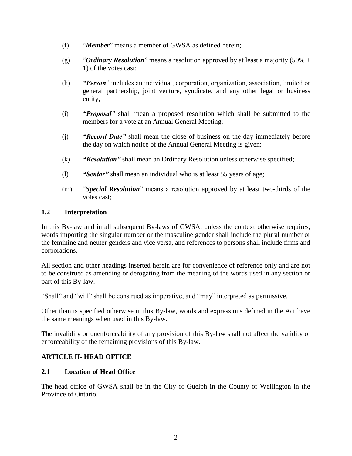- (f) "*Member*" means a member of GWSA as defined herein;
- (g) "*Ordinary Resolution*" means a resolution approved by at least a majority  $(50\% +$ 1) of the votes cast;
- (h) *"Person*" includes an individual, corporation, organization, association, limited or general partnership, joint venture, syndicate, and any other legal or business entity*;*
- (i) *"Proposal"* shall mean a proposed resolution which shall be submitted to the members for a vote at an Annual General Meeting;
- (j) *"Record Date"* shall mean the close of business on the day immediately before the day on which notice of the Annual General Meeting is given;
- (k) *"Resolution"* shall mean an Ordinary Resolution unless otherwise specified;
- (l) *"Senior"* shall mean an individual who is at least 55 years of age;
- (m) "*Special Resolution*" means a resolution approved by at least two-thirds of the votes cast;

#### <span id="page-4-0"></span>**1.2 Interpretation**

In this By-law and in all subsequent By-laws of GWSA, unless the context otherwise requires, words importing the singular number or the masculine gender shall include the plural number or the feminine and neuter genders and vice versa, and references to persons shall include firms and corporations.

All section and other headings inserted herein are for convenience of reference only and are not to be construed as amending or derogating from the meaning of the words used in any section or part of this By-law.

"Shall" and "will" shall be construed as imperative, and "may" interpreted as permissive.

Other than is specified otherwise in this By-law, words and expressions defined in the Act have the same meanings when used in this By-law.

The invalidity or unenforceability of any provision of this By-law shall not affect the validity or enforceability of the remaining provisions of this By-law.

# <span id="page-4-1"></span>**ARTICLE II- HEAD OFFICE**

#### <span id="page-4-2"></span>**2.1 Location of Head Office**

The head office of GWSA shall be in the City of Guelph in the County of Wellington in the Province of Ontario.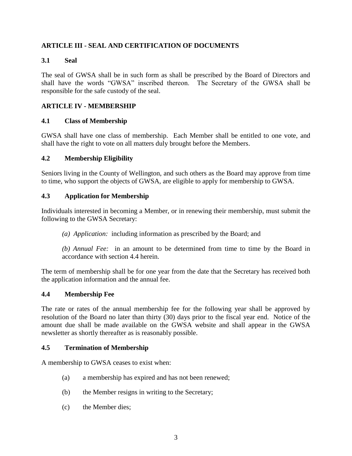# <span id="page-5-0"></span>**ARTICLE III - SEAL AND CERTIFICATION OF DOCUMENTS**

# <span id="page-5-1"></span>**3.1 Seal**

The seal of GWSA shall be in such form as shall be prescribed by the Board of Directors and shall have the words "GWSA" inscribed thereon. The Secretary of the GWSA shall be responsible for the safe custody of the seal.

# <span id="page-5-2"></span>**ARTICLE IV - MEMBERSHIP**

# <span id="page-5-3"></span>**4.1 Class of Membership**

GWSA shall have one class of membership. Each Member shall be entitled to one vote, and shall have the right to vote on all matters duly brought before the Members.

#### <span id="page-5-4"></span>**4.2 Membership Eligibility**

Seniors living in the County of Wellington, and such others as the Board may approve from time to time, who support the objects of GWSA, are eligible to apply for membership to GWSA.

#### <span id="page-5-5"></span>**4.3 Application for Membership**

Individuals interested in becoming a Member, or in renewing their membership, must submit the following to the GWSA Secretary:

*(a) Application:* including information as prescribed by the Board; and

*(b) Annual Fee:* in an amount to be determined from time to time by the Board in accordance with section 4.4 herein.

The term of membership shall be for one year from the date that the Secretary has received both the application information and the annual fee.

#### <span id="page-5-6"></span>**4.4 Membership Fee**

The rate or rates of the annual membership fee for the following year shall be approved by resolution of the Board no later than thirty (30) days prior to the fiscal year end. Notice of the amount due shall be made available on the GWSA website and shall appear in the GWSA newsletter as shortly thereafter as is reasonably possible.

#### <span id="page-5-7"></span>**4.5 Termination of Membership**

A membership to GWSA ceases to exist when:

- (a) a membership has expired and has not been renewed;
- (b) the Member resigns in writing to the Secretary;
- (c) the Member dies;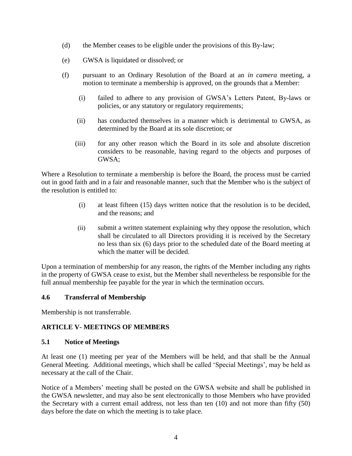- (d) the Member ceases to be eligible under the provisions of this By-law;
- (e) GWSA is liquidated or dissolved; or
- (f) pursuant to an Ordinary Resolution of the Board at an *in camera* meeting, a motion to terminate a membership is approved, on the grounds that a Member:
	- (i) failed to adhere to any provision of GWSA's Letters Patent, By-laws or policies, or any statutory or regulatory requirements;
	- (ii) has conducted themselves in a manner which is detrimental to GWSA, as determined by the Board at its sole discretion; or
	- (iii) for any other reason which the Board in its sole and absolute discretion considers to be reasonable, having regard to the objects and purposes of GWSA;

Where a Resolution to terminate a membership is before the Board, the process must be carried out in good faith and in a fair and reasonable manner, such that the Member who is the subject of the resolution is entitled to:

- (i) at least fifteen (15) days written notice that the resolution is to be decided, and the reasons; and
- (ii) submit a written statement explaining why they oppose the resolution, which shall be circulated to all Directors providing it is received by the Secretary no less than six (6) days prior to the scheduled date of the Board meeting at which the matter will be decided.

Upon a termination of membership for any reason, the rights of the Member including any rights in the property of GWSA cease to exist, but the Member shall nevertheless be responsible for the full annual membership fee payable for the year in which the termination occurs.

# <span id="page-6-0"></span>**4.6 Transferral of Membership**

Membership is not transferrable.

# <span id="page-6-1"></span>**ARTICLE V- MEETINGS OF MEMBERS**

#### <span id="page-6-2"></span>**5.1 Notice of Meetings**

At least one (1) meeting per year of the Members will be held, and that shall be the Annual General Meeting. Additional meetings, which shall be called 'Special Meetings', may be held as necessary at the call of the Chair.

Notice of a Members' meeting shall be posted on the GWSA website and shall be published in the GWSA newsletter, and may also be sent electronically to those Members who have provided the Secretary with a current email address, not less than ten (10) and not more than fifty (50) days before the date on which the meeting is to take place.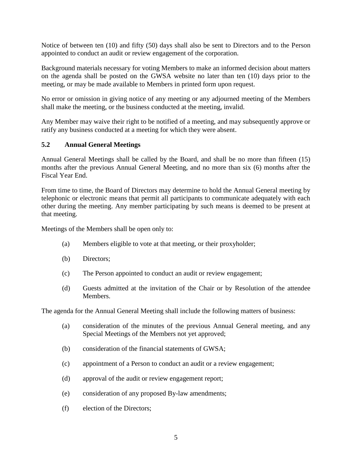Notice of between ten (10) and fifty (50) days shall also be sent to Directors and to the Person appointed to conduct an audit or review engagement of the corporation.

Background materials necessary for voting Members to make an informed decision about matters on the agenda shall be posted on the GWSA website no later than ten (10) days prior to the meeting, or may be made available to Members in printed form upon request.

No error or omission in giving notice of any meeting or any adjourned meeting of the Members shall make the meeting, or the business conducted at the meeting, invalid.

Any Member may waive their right to be notified of a meeting, and may subsequently approve or ratify any business conducted at a meeting for which they were absent.

# <span id="page-7-0"></span>**5.2 Annual General Meetings**

Annual General Meetings shall be called by the Board, and shall be no more than fifteen (15) months after the previous Annual General Meeting, and no more than six (6) months after the Fiscal Year End.

From time to time, the Board of Directors may determine to hold the Annual General meeting by telephonic or electronic means that permit all participants to communicate adequately with each other during the meeting. Any member participating by such means is deemed to be present at that meeting.

Meetings of the Members shall be open only to:

- (a) Members eligible to vote at that meeting, or their proxyholder;
- (b) Directors;
- (c) The Person appointed to conduct an audit or review engagement;
- (d) Guests admitted at the invitation of the Chair or by Resolution of the attendee Members.

The agenda for the Annual General Meeting shall include the following matters of business:

- (a) consideration of the minutes of the previous Annual General meeting, and any Special Meetings of the Members not yet approved;
- (b) consideration of the financial statements of GWSA;
- (c) appointment of a Person to conduct an audit or a review engagement;
- (d) approval of the audit or review engagement report;
- (e) consideration of any proposed By-law amendments;
- (f) election of the Directors;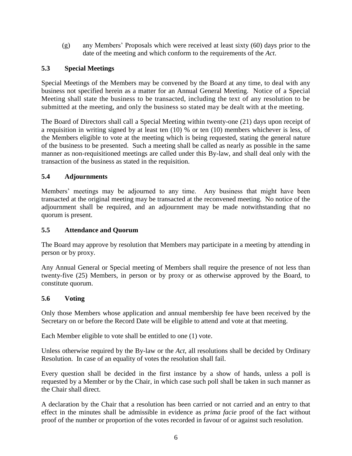(g) any Members' Proposals which were received at least sixty (60) days prior to the date of the meeting and which conform to the requirements of the *Act*.

# <span id="page-8-0"></span>**5.3 Special Meetings**

Special Meetings of the Members may be convened by the Board at any time, to deal with any business not specified herein as a matter for an Annual General Meeting. Notice of a Special Meeting shall state the business to be transacted, including the text of any resolution to be submitted at the meeting, and only the business so stated may be dealt with at the meeting.

The Board of Directors shall call a Special Meeting within twenty-one (21) days upon receipt of a requisition in writing signed by at least ten (10) % or ten (10) members whichever is less, of the Members eligible to vote at the meeting which is being requested, stating the general nature of the business to be presented. Such a meeting shall be called as nearly as possible in the same manner as non-requisitioned meetings are called under this By-law, and shall deal only with the transaction of the business as stated in the requisition.

# <span id="page-8-1"></span>**5.4 Adjournments**

Members' meetings may be adjourned to any time. Any business that might have been transacted at the original meeting may be transacted at the reconvened meeting. No notice of the adjournment shall be required, and an adjournment may be made notwithstanding that no quorum is present.

# <span id="page-8-2"></span>**5.5 Attendance and Quorum**

The Board may approve by resolution that Members may participate in a meeting by attending in person or by proxy.

Any Annual General or Special meeting of Members shall require the presence of not less than twenty-five (25) Members, in person or by proxy or as otherwise approved by the Board, to constitute quorum.

# <span id="page-8-3"></span>**5.6 Voting**

Only those Members whose application and annual membership fee have been received by the Secretary on or before the Record Date will be eligible to attend and vote at that meeting.

Each Member eligible to vote shall be entitled to one (1) vote.

Unless otherwise required by the By-law or the *Act*, all resolutions shall be decided by Ordinary Resolution. In case of an equality of votes the resolution shall fail.

Every question shall be decided in the first instance by a show of hands, unless a poll is requested by a Member or by the Chair, in which case such poll shall be taken in such manner as the Chair shall direct.

A declaration by the Chair that a resolution has been carried or not carried and an entry to that effect in the minutes shall be admissible in evidence as *prima facie* proof of the fact without proof of the number or proportion of the votes recorded in favour of or against such resolution.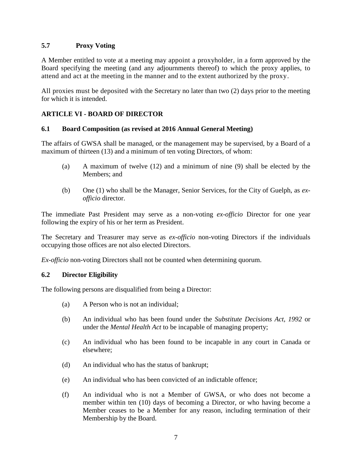# <span id="page-9-0"></span>**5.7 Proxy Voting**

A Member entitled to vote at a meeting may appoint a proxyholder, in a form approved by the Board specifying the meeting (and any adjournments thereof) to which the proxy applies, to attend and act at the meeting in the manner and to the extent authorized by the proxy.

All proxies must be deposited with the Secretary no later than two (2) days prior to the meeting for which it is intended.

# <span id="page-9-1"></span>**ARTICLE VI - BOARD OF DIRECTOR**

#### <span id="page-9-2"></span>**6.1 Board Composition (as revised at 2016 Annual General Meeting)**

The affairs of GWSA shall be managed, or the management may be supervised, by a Board of a maximum of thirteen (13) and a minimum of ten voting Directors, of whom:

- (a) A maximum of twelve (12) and a minimum of nine (9) shall be elected by the Members; and
- (b) One (1) who shall be the Manager, Senior Services, for the City of Guelph, as *exofficio* director.

The immediate Past President may serve as a non-voting *ex-officio* Director for one year following the expiry of his or her term as President.

The Secretary and Treasurer may serve as *ex-officio* non-voting Directors if the individuals occupying those offices are not also elected Directors.

*Ex-officio* non-voting Directors shall not be counted when determining quorum.

#### <span id="page-9-3"></span>**6.2 Director Eligibility**

The following persons are disqualified from being a Director:

- (a) A Person who is not an individual;
- (b) An individual who has been found under the *Substitute Decisions Act, 1992* or under the *Mental Health Act* to be incapable of managing property;
- (c) An individual who has been found to be incapable in any court in Canada or elsewhere;
- (d) An individual who has the status of bankrupt;
- (e) An individual who has been convicted of an indictable offence;
- (f) An individual who is not a Member of GWSA, or who does not become a member within ten (10) days of becoming a Director, or who having become a Member ceases to be a Member for any reason, including termination of their Membership by the Board.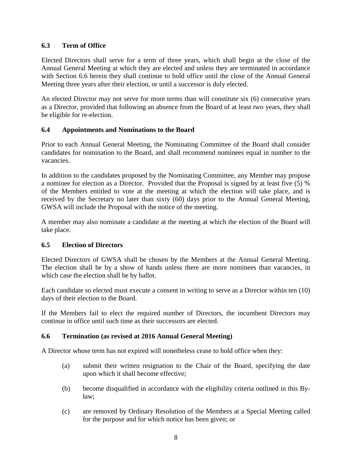# <span id="page-10-0"></span>**6.3 Term of Office**

Elected Directors shall serve for a term of three years, which shall begin at the close of the Annual General Meeting at which they are elected and unless they are terminated in accordance with Section 6.6 herein they shall continue to hold office until the close of the Annual General Meeting three years after their election, or until a successor is duly elected.

An elected Director may not serve for more terms than will constitute six (6) consecutive years as a Director, provided that following an absence from the Board of at least two years, they shall be eligible for re-election.

# <span id="page-10-1"></span>**6.4 Appointments and Nominations to the Board**

Prior to each Annual General Meeting, the Nominating Committee of the Board shall consider candidates for nomination to the Board, and shall recommend nominees equal in number to the vacancies.

In addition to the candidates proposed by the Nominating Committee, any Member may propose a nominee for election as a Director. Provided that the Proposal is signed by at least five (5) % of the Members entitled to vote at the meeting at which the election will take place, and is received by the Secretary no later than sixty (60) days prior to the Annual General Meeting, GWSA will include the Proposal with the notice of the meeting.

A member may also nominate a candidate at the meeting at which the election of the Board will take place.

# <span id="page-10-2"></span>**6.5 Election of Directors**

Elected Directors of GWSA shall be chosen by the Members at the Annual General Meeting. The election shall be by a show of hands unless there are more nominees than vacancies, in which case the election shall be by ballot.

Each candidate so elected must execute a consent in writing to serve as a Director within ten (10) days of their election to the Board.

If the Members fail to elect the required number of Directors, the incumbent Directors may continue in office until such time as their successors are elected.

# <span id="page-10-3"></span>**6.6 Termination (as revised at 2016 Annual General Meeting)**

A Director whose term has not expired will nonetheless cease to hold office when they:

- (a) submit their written resignation to the Chair of the Board, specifying the date upon which it shall become effective;
- (b) become disqualified in accordance with the eligibility criteria outlined in this Bylaw;
- (c) are removed by Ordinary Resolution of the Members at a Special Meeting called for the purpose and for which notice has been given; or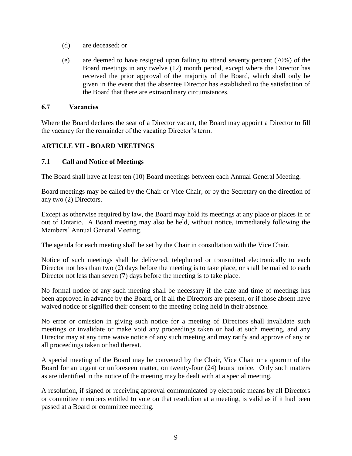- (d) are deceased; or
- (e) are deemed to have resigned upon failing to attend seventy percent (70%) of the Board meetings in any twelve (12) month period, except where the Director has received the prior approval of the majority of the Board, which shall only be given in the event that the absentee Director has established to the satisfaction of the Board that there are extraordinary circumstances.

#### <span id="page-11-0"></span>**6.7 Vacancies**

Where the Board declares the seat of a Director vacant, the Board may appoint a Director to fill the vacancy for the remainder of the vacating Director's term.

# <span id="page-11-1"></span>**ARTICLE VII - BOARD MEETINGS**

#### <span id="page-11-2"></span>**7.1 Call and Notice of Meetings**

The Board shall have at least ten (10) Board meetings between each Annual General Meeting.

Board meetings may be called by the Chair or Vice Chair, or by the Secretary on the direction of any two (2) Directors.

Except as otherwise required by law, the Board may hold its meetings at any place or places in or out of Ontario. A Board meeting may also be held, without notice, immediately following the Members' Annual General Meeting.

The agenda for each meeting shall be set by the Chair in consultation with the Vice Chair.

Notice of such meetings shall be delivered, telephoned or transmitted electronically to each Director not less than two (2) days before the meeting is to take place, or shall be mailed to each Director not less than seven (7) days before the meeting is to take place.

No formal notice of any such meeting shall be necessary if the date and time of meetings has been approved in advance by the Board, or if all the Directors are present, or if those absent have waived notice or signified their consent to the meeting being held in their absence.

No error or omission in giving such notice for a meeting of Directors shall invalidate such meetings or invalidate or make void any proceedings taken or had at such meeting, and any Director may at any time waive notice of any such meeting and may ratify and approve of any or all proceedings taken or had thereat.

A special meeting of the Board may be convened by the Chair, Vice Chair or a quorum of the Board for an urgent or unforeseen matter, on twenty-four (24) hours notice. Only such matters as are identified in the notice of the meeting may be dealt with at a special meeting.

A resolution, if signed or receiving approval communicated by electronic means by all Directors or committee members entitled to vote on that resolution at a meeting, is valid as if it had been passed at a Board or committee meeting.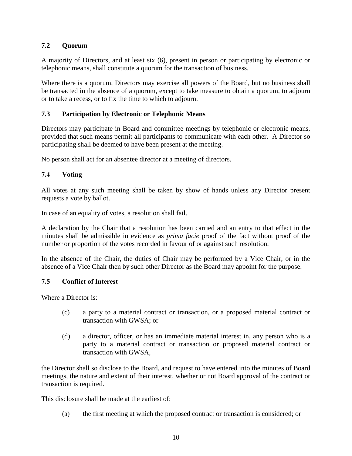# <span id="page-12-0"></span>**7.2 Quorum**

A majority of Directors, and at least six (6), present in person or participating by electronic or telephonic means, shall constitute a quorum for the transaction of business.

<span id="page-12-1"></span>Where there is a quorum, Directors may exercise all powers of the Board, but no business shall be transacted in the absence of a quorum, except to take measure to obtain a quorum, to adjourn or to take a recess, or to fix the time to which to adjourn.

# **7.3 Participation by Electronic or Telephonic Means**

Directors may participate in Board and committee meetings by telephonic or electronic means, provided that such means permit all participants to communicate with each other. A Director so participating shall be deemed to have been present at the meeting.

No person shall act for an absentee director at a meeting of directors.

#### <span id="page-12-2"></span>**7.4 Voting**

All votes at any such meeting shall be taken by show of hands unless any Director present requests a vote by ballot.

In case of an equality of votes, a resolution shall fail.

A declaration by the Chair that a resolution has been carried and an entry to that effect in the minutes shall be admissible in evidence as *prima facie* proof of the fact without proof of the number or proportion of the votes recorded in favour of or against such resolution.

In the absence of the Chair, the duties of Chair may be performed by a Vice Chair, or in the absence of a Vice Chair then by such other Director as the Board may appoint for the purpose.

#### <span id="page-12-3"></span>**7.5 Conflict of Interest**

Where a Director is:

- (c) a party to a material contract or transaction, or a proposed material contract or transaction with GWSA; or
- (d) a director, officer, or has an immediate material interest in, any person who is a party to a material contract or transaction or proposed material contract or transaction with GWSA,

the Director shall so disclose to the Board, and request to have entered into the minutes of Board meetings, the nature and extent of their interest, whether or not Board approval of the contract or transaction is required.

This disclosure shall be made at the earliest of:

(a) the first meeting at which the proposed contract or transaction is considered; or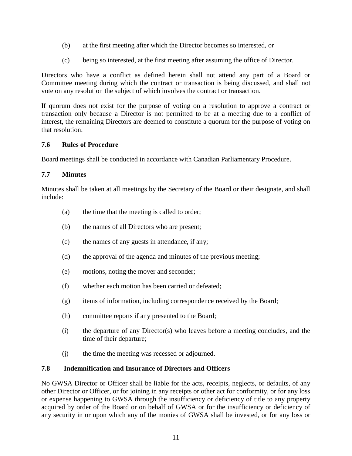- (b) at the first meeting after which the Director becomes so interested, or
- (c) being so interested, at the first meeting after assuming the office of Director.

Directors who have a conflict as defined herein shall not attend any part of a Board or Committee meeting during which the contract or transaction is being discussed, and shall not vote on any resolution the subject of which involves the contract or transaction.

If quorum does not exist for the purpose of voting on a resolution to approve a contract or transaction only because a Director is not permitted to be at a meeting due to a conflict of interest, the remaining Directors are deemed to constitute a quorum for the purpose of voting on that resolution.

# **7.6 Rules of Procedure**

Board meetings shall be conducted in accordance with Canadian Parliamentary Procedure.

# **7.7 Minutes**

Minutes shall be taken at all meetings by the Secretary of the Board or their designate, and shall include:

- <span id="page-13-0"></span>(a) the time that the meeting is called to order;
- (b) the names of all Directors who are present;
- (c) the names of any guests in attendance, if any;
- (d) the approval of the agenda and minutes of the previous meeting;
- (e) motions, noting the mover and seconder;
- (f) whether each motion has been carried or defeated;
- (g) items of information, including correspondence received by the Board;
- (h) committee reports if any presented to the Board;
- (i) the departure of any Director(s) who leaves before a meeting concludes, and the time of their departure;
- (j) the time the meeting was recessed or adjourned.

# <span id="page-13-1"></span>**7.8 Indemnification and Insurance of Directors and Officers**

No GWSA Director or Officer shall be liable for the acts, receipts, neglects, or defaults, of any other Director or Officer, or for joining in any receipts or other act for conformity, or for any loss or expense happening to GWSA through the insufficiency or deficiency of title to any property acquired by order of the Board or on behalf of GWSA or for the insufficiency or deficiency of any security in or upon which any of the monies of GWSA shall be invested, or for any loss or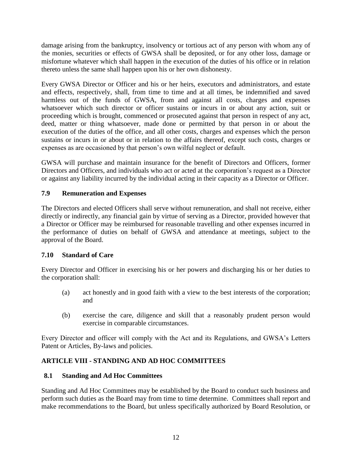damage arising from the bankruptcy, insolvency or tortious act of any person with whom any of the monies, securities or effects of GWSA shall be deposited, or for any other loss, damage or misfortune whatever which shall happen in the execution of the duties of his office or in relation thereto unless the same shall happen upon his or her own dishonesty.

Every GWSA Director or Officer and his or her heirs, executors and administrators, and estate and effects, respectively, shall, from time to time and at all times, be indemnified and saved harmless out of the funds of GWSA, from and against all costs, charges and expenses whatsoever which such director or officer sustains or incurs in or about any action, suit or proceeding which is brought, commenced or prosecuted against that person in respect of any act, deed, matter or thing whatsoever, made done or permitted by that person in or about the execution of the duties of the office, and all other costs, charges and expenses which the person sustains or incurs in or about or in relation to the affairs thereof, except such costs, charges or expenses as are occasioned by that person's own wilful neglect or default.

GWSA will purchase and maintain insurance for the benefit of Directors and Officers, former Directors and Officers, and individuals who act or acted at the corporation's request as a Director or against any liability incurred by the individual acting in their capacity as a Director or Officer.

# <span id="page-14-0"></span>**7.9 Remuneration and Expenses**

The Directors and elected Officers shall serve without remuneration, and shall not receive, either directly or indirectly, any financial gain by virtue of serving as a Director, provided however that a Director or Officer may be reimbursed for reasonable travelling and other expenses incurred in the performance of duties on behalf of GWSA and attendance at meetings, subject to the approval of the Board.

# <span id="page-14-1"></span>**7.10 Standard of Care**

Every Director and Officer in exercising his or her powers and discharging his or her duties to the corporation shall:

- (a) act honestly and in good faith with a view to the best interests of the corporation; and
- (b) exercise the care, diligence and skill that a reasonably prudent person would exercise in comparable circumstances.

Every Director and officer will comply with the Act and its Regulations, and GWSA's Letters Patent or Articles, By-laws and policies.

# <span id="page-14-2"></span>**ARTICLE VIII - STANDING AND AD HOC COMMITTEES**

# <span id="page-14-3"></span>**8.1 Standing and Ad Hoc Committees**

Standing and Ad Hoc Committees may be established by the Board to conduct such business and perform such duties as the Board may from time to time determine. Committees shall report and make recommendations to the Board, but unless specifically authorized by Board Resolution, or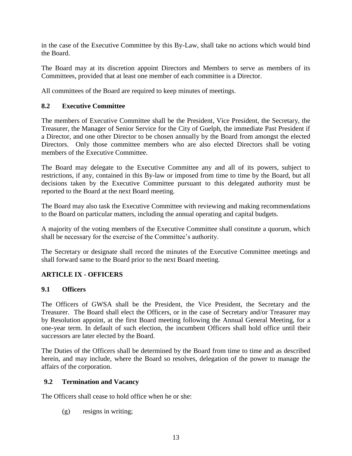in the case of the Executive Committee by this By-Law, shall take no actions which would bind the Board.

The Board may at its discretion appoint Directors and Members to serve as members of its Committees, provided that at least one member of each committee is a Director.

All committees of the Board are required to keep minutes of meetings.

# <span id="page-15-0"></span>**8.2 Executive Committee**

The members of Executive Committee shall be the President, Vice President, the Secretary, the Treasurer, the Manager of Senior Service for the City of Guelph, the immediate Past President if a Director, and one other Director to be chosen annually by the Board from amongst the elected Directors. Only those committee members who are also elected Directors shall be voting members of the Executive Committee.

The Board may delegate to the Executive Committee any and all of its powers, subject to restrictions, if any, contained in this By-law or imposed from time to time by the Board, but all decisions taken by the Executive Committee pursuant to this delegated authority must be reported to the Board at the next Board meeting.

The Board may also task the Executive Committee with reviewing and making recommendations to the Board on particular matters, including the annual operating and capital budgets.

A majority of the voting members of the Executive Committee shall constitute a quorum, which shall be necessary for the exercise of the Committee's authority.

The Secretary or designate shall record the minutes of the Executive Committee meetings and shall forward same to the Board prior to the next Board meeting.

# <span id="page-15-1"></span>**ARTICLE IX - OFFICERS**

# <span id="page-15-2"></span>**9.1 Officers**

The Officers of GWSA shall be the President, the Vice President, the Secretary and the Treasurer. The Board shall elect the Officers, or in the case of Secretary and/or Treasurer may by Resolution appoint, at the first Board meeting following the Annual General Meeting, for a one-year term. In default of such election, the incumbent Officers shall hold office until their successors are later elected by the Board.

The Duties of the Officers shall be determined by the Board from time to time and as described herein, and may include, where the Board so resolves, delegation of the power to manage the affairs of the corporation.

# <span id="page-15-3"></span>**9.2 Termination and Vacancy**

The Officers shall cease to hold office when he or she:

(g) resigns in writing;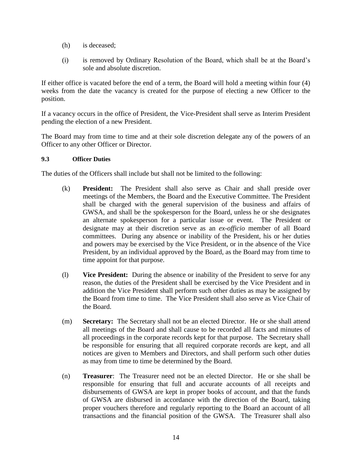- (h) is deceased;
- (i) is removed by Ordinary Resolution of the Board, which shall be at the Board's sole and absolute discretion.

If either office is vacated before the end of a term, the Board will hold a meeting within four (4) weeks from the date the vacancy is created for the purpose of electing a new Officer to the position.

If a vacancy occurs in the office of President, the Vice-President shall serve as Interim President pending the election of a new President.

The Board may from time to time and at their sole discretion delegate any of the powers of an Officer to any other Officer or Director.

#### <span id="page-16-0"></span>**9.3 Officer Duties**

The duties of the Officers shall include but shall not be limited to the following:

- (k) **President:** The President shall also serve as Chair and shall preside over meetings of the Members, the Board and the Executive Committee. The President shall be charged with the general supervision of the business and affairs of GWSA, and shall be the spokesperson for the Board, unless he or she designates an alternate spokesperson for a particular issue or event. The President or designate may at their discretion serve as an *ex-officio* member of all Board committees. During any absence or inability of the President, his or her duties and powers may be exercised by the Vice President, or in the absence of the Vice President, by an individual approved by the Board, as the Board may from time to time appoint for that purpose.
- (l) **Vice President:** During the absence or inability of the President to serve for any reason, the duties of the President shall be exercised by the Vice President and in addition the Vice President shall perform such other duties as may be assigned by the Board from time to time. The Vice President shall also serve as Vice Chair of the Board.
- (m) **Secretary:** The Secretary shall not be an elected Director. He or she shall attend all meetings of the Board and shall cause to be recorded all facts and minutes of all proceedings in the corporate records kept for that purpose. The Secretary shall be responsible for ensuring that all required corporate records are kept, and all notices are given to Members and Directors, and shall perform such other duties as may from time to time be determined by the Board.
- (n) **Treasurer**: The Treasurer need not be an elected Director. He or she shall be responsible for ensuring that full and accurate accounts of all receipts and disbursements of GWSA are kept in proper books of account, and that the funds of GWSA are disbursed in accordance with the direction of the Board, taking proper vouchers therefore and regularly reporting to the Board an account of all transactions and the financial position of the GWSA. The Treasurer shall also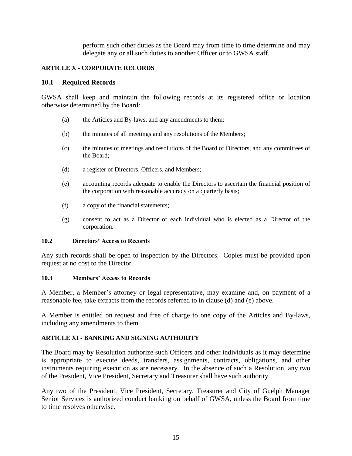perform such other duties as the Board may from time to time determine and may delegate any or all such duties to another Officer or to GWSA staff.

#### <span id="page-17-0"></span>**ARTICLE X - CORPORATE RECORDS**

#### <span id="page-17-1"></span>**10.1 Required Records**

GWSA shall keep and maintain the following records at its registered office or location otherwise determined by the Board:

- (a) the Articles and By-laws, and any amendments to them;
- (b) the minutes of all meetings and any resolutions of the Members;
- (c) the minutes of meetings and resolutions of the Board of Directors, and any committees of the Board;
- (d) a register of Directors, Officers, and Members;
- (e) accounting records adequate to enable the Directors to ascertain the financial position of the corporation with reasonable accuracy on a quarterly basis;
- (f) a copy of the financial statements;
- (g) consent to act as a Director of each individual who is elected as a Director of the corporation.

#### <span id="page-17-2"></span>**10.2 Directors' Access to Records**

Any such records shall be open to inspection by the Directors. Copies must be provided upon request at no cost to the Director.

#### <span id="page-17-3"></span>**10.3 Members' Access to Records**

A Member, a Member's attorney or legal representative, may examine and, on payment of a reasonable fee, take extracts from the records referred to in clause (d) and (e) above.

A Member is entitled on request and free of charge to one copy of the Articles and By-laws, including any amendments to them.

#### <span id="page-17-4"></span>**ARTICLE XI - BANKING AND SIGNING AUTHORITY**

The Board may by Resolution authorize such Officers and other individuals as it may determine is appropriate to execute deeds, transfers, assignments, contracts, obligations, and other instruments requiring execution as are necessary. In the absence of such a Resolution, any two of the President, Vice President, Secretary and Treasurer shall have such authority.

Any two of the President, Vice President, Secretary, Treasurer and City of Guelph Manager Senior Services is authorized conduct banking on behalf of GWSA, unless the Board from time to time resolves otherwise.